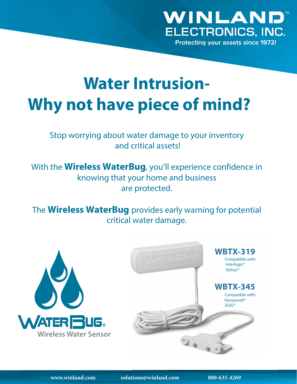

**Protecting your assets since 1972!** 

# **Water Intrusion-Why not have piece of mind?**

### Stop worrying about water damage to your inventory and critical assets!

With the **Wireless WaterBug**, you'll experience confidence in knowing that your home and business are protected.

The **Wireless WaterBug** provides early warning for potential critical water damage.



**www.winland.com solutions@winland.com 800-635-4269**